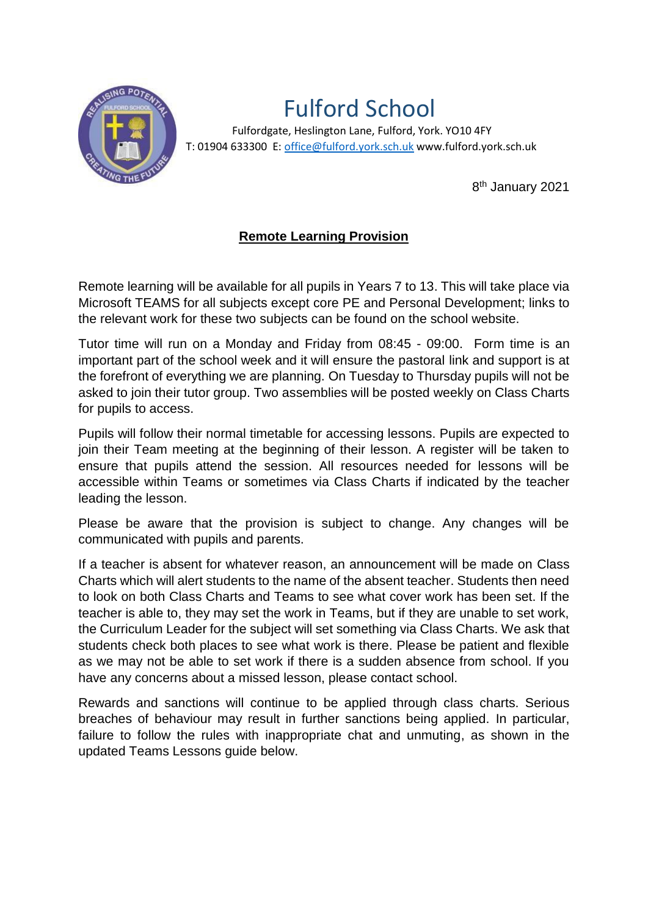

# Fulford School

 Fulfordgate, Heslington Lane, Fulford, York. YO10 4FY T: 01904 633300 E: office@fulford.york.sch.uk www.fulford.york.sch.uk

8<sup>th</sup> January 2021

## **Remote Learning Provision**

Remote learning will be available for all pupils in Years 7 to 13. This will take place via Microsoft TEAMS for all subjects except core PE and Personal Development; links to the relevant work for these two subjects can be found on the school website.

Tutor time will run on a Monday and Friday from 08:45 - 09:00. Form time is an important part of the school week and it will ensure the pastoral link and support is at the forefront of everything we are planning. On Tuesday to Thursday pupils will not be asked to join their tutor group. Two assemblies will be posted weekly on Class Charts for pupils to access.

Pupils will follow their normal timetable for accessing lessons. Pupils are expected to join their Team meeting at the beginning of their lesson. A register will be taken to ensure that pupils attend the session. All resources needed for lessons will be accessible within Teams or sometimes via Class Charts if indicated by the teacher leading the lesson.

Please be aware that the provision is subject to change. Any changes will be communicated with pupils and parents.

If a teacher is absent for whatever reason, an announcement will be made on Class Charts which will alert students to the name of the absent teacher. Students then need to look on both Class Charts and Teams to see what cover work has been set. If the teacher is able to, they may set the work in Teams, but if they are unable to set work, the Curriculum Leader for the subject will set something via Class Charts. We ask that students check both places to see what work is there. Please be patient and flexible as we may not be able to set work if there is a sudden absence from school. If you have any concerns about a missed lesson, please contact school.

Rewards and sanctions will continue to be applied through class charts. Serious breaches of behaviour may result in further sanctions being applied. In particular, failure to follow the rules with inappropriate chat and unmuting, as shown in the updated Teams Lessons guide below.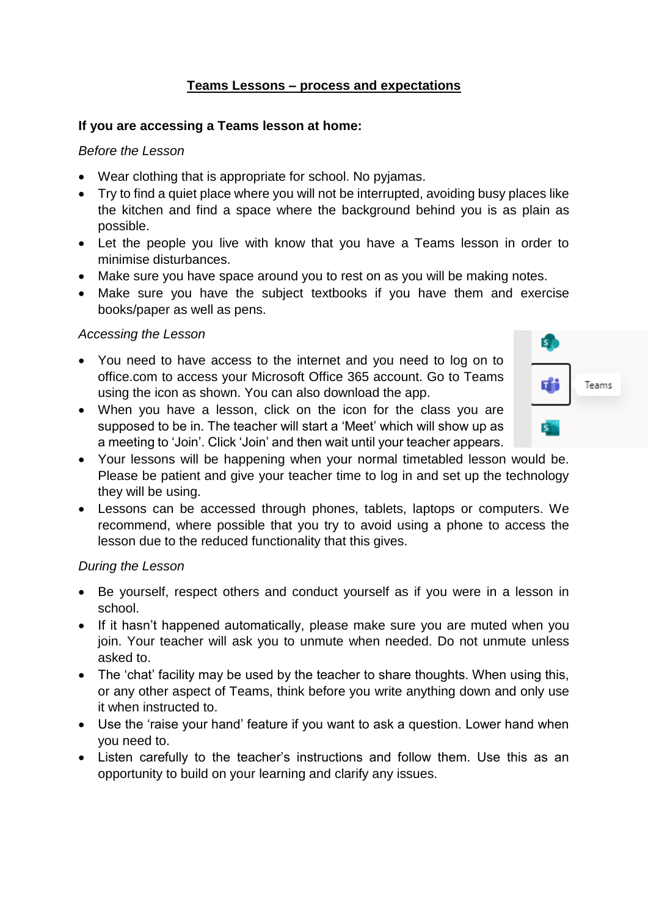### **Teams Lessons – process and expectations**

#### **If you are accessing a Teams lesson at home:**

#### *Before the Lesson*

- Wear clothing that is appropriate for school. No pyjamas.
- Try to find a quiet place where you will not be interrupted, avoiding busy places like the kitchen and find a space where the background behind you is as plain as possible.
- Let the people you live with know that you have a Teams lesson in order to minimise disturbances.
- Make sure you have space around you to rest on as you will be making notes.
- Make sure you have the subject textbooks if you have them and exercise books/paper as well as pens.

#### *Accessing the Lesson*

 You need to have access to the internet and you need to log on to office.com to access your Microsoft Office 365 account. Go to Teams using the icon as shown. You can also download the app.



- When you have a lesson, click on the icon for the class you are supposed to be in. The teacher will start a 'Meet' which will show up as a meeting to 'Join'. Click 'Join' and then wait until your teacher appears.
- Your lessons will be happening when your normal timetabled lesson would be. Please be patient and give your teacher time to log in and set up the technology they will be using.
- Lessons can be accessed through phones, tablets, laptops or computers. We recommend, where possible that you try to avoid using a phone to access the lesson due to the reduced functionality that this gives.

#### *During the Lesson*

- Be yourself, respect others and conduct yourself as if you were in a lesson in school.
- If it hasn't happened automatically, please make sure you are muted when you join. Your teacher will ask you to unmute when needed. Do not unmute unless asked to.
- The 'chat' facility may be used by the teacher to share thoughts. When using this, or any other aspect of Teams, think before you write anything down and only use it when instructed to.
- Use the 'raise your hand' feature if you want to ask a question. Lower hand when you need to.
- Listen carefully to the teacher's instructions and follow them. Use this as an opportunity to build on your learning and clarify any issues.